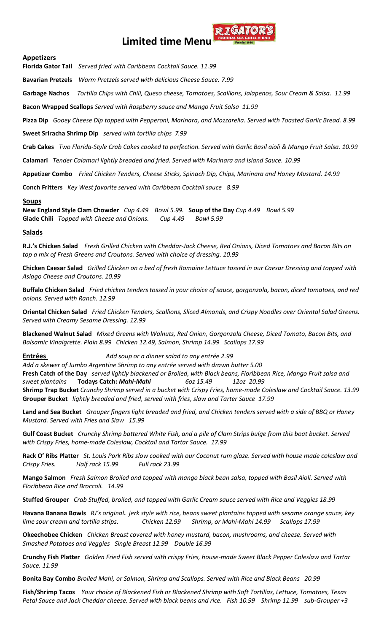# **Limited time Men**



**Florida Gator Tail** *Served fried with Caribbean Cocktail Sauce. 11.99*

**Bavarian Pretzels** *Warm Pretzels served with delicious Cheese Sauce. 7.99*

**Garbage Nachos** *Tortilla Chips with Chili, Queso cheese, Tomatoes, Scallions, Jalapenos, Sour Cream & Salsa. 11.99*

 $\pi$ *(CA*)

**Bacon Wrapped Scallops** *Served with Raspberry sauce and Mango Fruit Salsa 11.99*

**Pizza Dip** *Gooey Cheese Dip topped with Pepperoni, Marinara, and Mozzarella. Served with Toasted Garlic Bread. 8.99*

**Sweet Sriracha Shrimp Dip** *served with tortilla chips 7.99*

**Crab Cakes** *Two Florida-Style Crab Cakes cooked to perfection. Served with Garlic Basil aioli & Mango Fruit Salsa. 10.99*

**Calamari** *Tender Calamari lightly breaded and fried. Served with Marinara and Island Sauce. 10.99*

**Appetizer Combo** *Fried Chicken Tenders, Cheese Sticks, Spinach Dip, Chips, Marinara and Honey Mustard. 14.99*

**Conch Fritters** *Key West favorite served with Caribbean Cocktail sauce 8.99*

# **Soups**

**New England Style Clam Chowder** *Cup 4.49 Bowl 5.99.* **Soup of the Day** *Cup 4.49 Bowl 5.99*  **Glade Chili** *Topped with Cheese and Onions. Cup 4.49 Bowl 5.99*

# **Salads**

**R.J.'s Chicken Salad** *Fresh Grilled Chicken with Cheddar-Jack Cheese, Red Onions, Diced Tomatoes and Bacon Bits on top a mix of Fresh Greens and Croutons. Served with choice of dressing. 10.99*

**Chicken Caesar Salad** *Grilled Chicken on a bed of fresh Romaine Lettuce tossed in our Caesar Dressing and topped with Asiago Cheese and Croutons. 10.99*

**Buffalo Chicken Salad** *Fried chicken tenders tossed in your choice of sauce, gorgonzola, bacon, diced tomatoes, and red onions. Served with Ranch. 12.99*

**Oriental Chicken Salad** *Fried Chicken Tenders, Scallions, Sliced Almonds, and Crispy Noodles over Oriental Salad Greens. Served with Creamy Sesame Dressing. 12.99*

**Blackened Walnut Salad** *Mixed Greens with Walnuts, Red Onion, Gorgonzola Cheese, Diced Tomato, Bacon Bits, and Balsamic Vinaigrette. Plain 8.99 Chicken 12.49, Salmon, Shrimp 14.99 Scallops 17.99*

**Entrées** *Add soup or a dinner salad to any entrée 2.99* 

*Add a skewer of Jumbo Argentine Shrimp to any entrée served with drawn butter 5.00*  **Fresh Catch of the Day** *served lightly blackened or Broiled, with Black beans, Floribbean Rice, Mango Fruit salsa and sweet plantains* **Todays Catch:** *Mahi-Mahi 6oz 15.49 12oz 20.99*  **Shrimp Trap Bucket** *Crunchy Shrimp served in a bucket with Crispy Fries, home-made Coleslaw and Cocktail Sauce. 13.99* **Grouper Bucket** *lightly breaded and fried, served with fries, slaw and Tarter Sauce 17.99* 

**Land and Sea Bucket** *Grouper fingers light breaded and fried, and Chicken tenders served with a side of BBQ or Honey Mustard. Served with Fries and Slaw 15.99*

**Gulf Coast Bucket** *Crunchy Shrimp battered White Fish, and a pile of Clam Strips bulge from this boat bucket. Served with Crispy Fries, home-made Coleslaw, Cocktail and Tartar Sauce. 17.99* 

**Rack O' Ribs Platter** *St. Louis Pork Ribs slow cooked with our Coconut rum glaze. Served with house made coleslaw and Crispy Fries. Half rack 15.99 Full rack 23.99*

**Mango Salmon** *Fresh Salmon Broiled and topped with mango black bean salsa, topped with Basil Aioli. Served with Floribbean Rice and Broccoli. 14.99*

**Stuffed Grouper** *Crab Stuffed, broiled, and topped with Garlic Cream sauce served with Rice and Veggies 18.99*

**Havana Banana Bowls** *RJ's original***.** *jerk style with rice, beans sweet plantains topped with sesame orange sauce, key lime sour cream and tortilla strips. Chicken 12.99 Shrimp, or Mahi-Mahi 14.99 Scallops 17.99*

**Okeechobee Chicken** *Chicken Breast covered with honey mustard, bacon, mushrooms, and cheese. Served with Smashed Potatoes and Veggies Single Breast 12.99 Double 16.99*

**Crunchy Fish Platter** *Golden Fried Fish served with crispy Fries, house-made Sweet Black Pepper Coleslaw and Tartar Sauce. 11.99* 

**Bonita Bay Combo** *Broiled Mahi, or Salmon, Shrimp and Scallops. Served with Rice and Black Beans 20.99*

**Fish/Shrimp Tacos** *Your choice of Blackened Fish or Blackened Shrimp with Soft Tortillas, Lettuce, Tomatoes, Texas Petal Sauce and Jack Cheddar cheese. Served with black beans and rice. Fish 10.99 Shrimp 11.99 sub-Grouper +3*